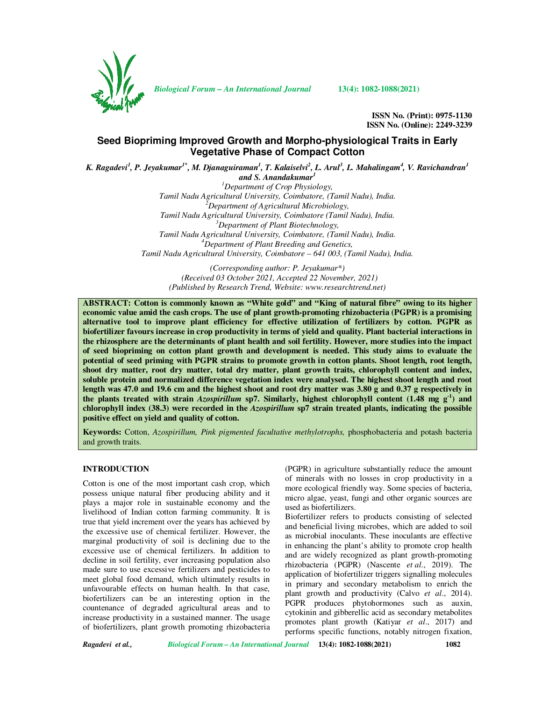

*Biological Forum – An International Journal* **13(4): 1082-1088(2021)**

**ISSN No. (Print): 0975-1130 ISSN No. (Online): 2249-3239** 

# **Seed Biopriming Improved Growth and Morpho-physiological Traits in Early Vegetative Phase of Compact Cotton**

*K. Ragadevi<sup>1</sup> , P. Jeyakumar1\*, M. Djanaguiraman<sup>1</sup> , T. Kalaiselvi<sup>2</sup> , L. Arul<sup>3</sup> , L. Mahalingam<sup>4</sup> , V. Ravichandran<sup>1</sup> and S. Anandakumar<sup>1</sup>*

*<sup>1</sup>Department of Crop Physiology, Tamil Nadu Agricultural University, Coimbatore, (Tamil Nadu), India. <sup>2</sup>Department of Agricultural Microbiology, Tamil Nadu Agricultural University, Coimbatore (Tamil Nadu), India. <sup>3</sup>Department of Plant Biotechnology, Tamil Nadu Agricultural University, Coimbatore, (Tamil Nadu), India. <sup>4</sup>Department of Plant Breeding and Genetics, Tamil Nadu Agricultural University, Coimbatore – 641 003, (Tamil Nadu), India.* 

*(Corresponding author: P. Jeyakumar\*) (Received 03 October 2021, Accepted 22 November, 2021) (Published by Research Trend, Website: www.researchtrend.net)* 

**ABSTRACT: Cotton is commonly known as "White gold" and "King of natural fibre" owing to its higher economic value amid the cash crops. The use of plant growth-promoting rhizobacteria (PGPR) is a promising alternative tool to improve plant efficiency for effective utilization of fertilizers by cotton. PGPR as biofertilizer favours increase in crop productivity in terms of yield and quality. Plant bacterial interactions in the rhizosphere are the determinants of plant health and soil fertility. However, more studies into the impact of seed biopriming on cotton plant growth and development is needed. This study aims to evaluate the potential of seed priming with PGPR strains to promote growth in cotton plants. Shoot length, root length, shoot dry matter, root dry matter, total dry matter, plant growth traits, chlorophyll content and index, soluble protein and normalized difference vegetation index were analysed. The highest shoot length and root length was 47.0 and 19.6 cm and the highest shoot and root dry matter was 3.80 g and 0.37 g respectively in the plants treated with strain** *Azospirillum* **sp7. Similarly, highest chlorophyll content (1.48 mg g-1) and chlorophyll index (38.3) were recorded in the** *Azospirillum* **sp7 strain treated plants, indicating the possible positive effect on yield and quality of cotton.** 

**Keywords:** Cotton, *Azospirillum, Pink pigmented facultative methylotrophs,* phosphobacteria and potash bacteria and growth traits.

# **INTRODUCTION**

Cotton is one of the most important cash crop, which possess unique natural fiber producing ability and it plays a major role in sustainable economy and the livelihood of Indian cotton farming community. It is true that yield increment over the years has achieved by the excessive use of chemical fertilizer. However, the marginal productivity of soil is declining due to the excessive use of chemical fertilizers. In addition to decline in soil fertility, ever increasing population also made sure to use excessive fertilizers and pesticides to meet global food demand, which ultimately results in unfavourable effects on human health. In that case, biofertilizers can be an interesting option in the countenance of degraded agricultural areas and to increase productivity in a sustained manner. The usage of biofertilizers, plant growth promoting rhizobacteria

(PGPR) in agriculture substantially reduce the amount of minerals with no losses in crop productivity in a more ecological friendly way. Some species of bacteria, micro algae, yeast, fungi and other organic sources are used as biofertilizers.

Biofertilizer refers to products consisting of selected and beneficial living microbes, which are added to soil as microbial inoculants. These inoculants are effective in enhancing the plant's ability to promote crop health and are widely recognized as plant growth-promoting rhizobacteria (PGPR) (Nascente *et al*., 2019). The application of biofertilizer triggers signalling molecules in primary and secondary metabolism to enrich the plant growth and productivity (Calvo *et al*., 2014). PGPR produces phytohormones such as auxin, cytokinin and gibberellic acid as secondary metabolites promotes plant growth (Katiyar *et al*., 2017) and performs specific functions, notably nitrogen fixation,

*Ragadevi et al., Biological Forum – An International Journal* **13(4): 1082-1088(2021) 1082**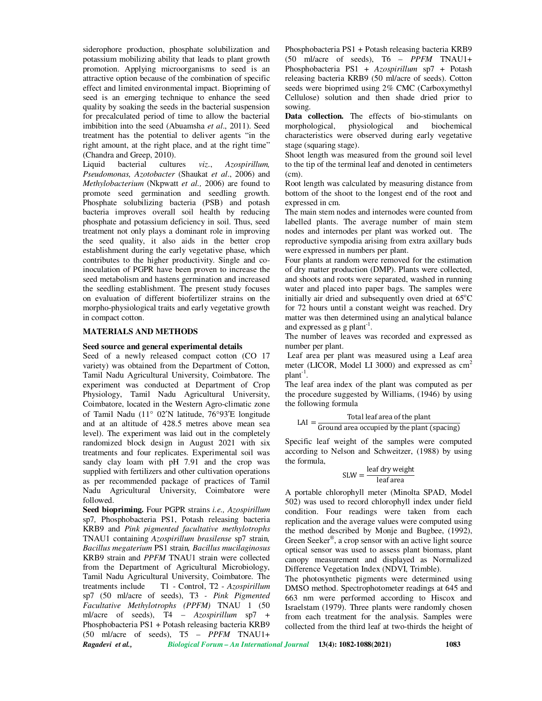siderophore production, phosphate solubilization and potassium mobilizing ability that leads to plant growth promotion. Applying microorganisms to seed is an attractive option because of the combination of specific effect and limited environmental impact. Biopriming of seed is an emerging technique to enhance the seed quality by soaking the seeds in the bacterial suspension for precalculated period of time to allow the bacterial imbibition into the seed (Abuamsha *et al*., 2011). Seed treatment has the potential to deliver agents "in the right amount, at the right place, and at the right time" (Chandra and Greep, 2010).

bacterial cultures *viz.*, *Azospirillum*, *Pseudomonas, Azotobacter* (Shaukat *et al*., 2006) and *Methylobacterium* (Nkpwatt *et al.,* 2006) are found to promote seed germination and seedling growth. Phosphate solubilizing bacteria (PSB) and potash bacteria improves overall soil health by reducing phosphate and potassium deficiency in soil. Thus, seed treatment not only plays a dominant role in improving the seed quality, it also aids in the better crop establishment during the early vegetative phase, which contributes to the higher productivity. Single and coinoculation of PGPR have been proven to increase the seed metabolism and hastens germination and increased the seedling establishment. The present study focuses on evaluation of different biofertilizer strains on the morpho-physiological traits and early vegetative growth in compact cotton.

#### **MATERIALS AND METHODS**

#### **Seed source and general experimental details**

Seed of a newly released compact cotton (CO 17 variety) was obtained from the Department of Cotton, Tamil Nadu Agricultural University, Coimbatore. The experiment was conducted at Department of Crop Physiology, Tamil Nadu Agricultural University, Coimbatore, located in the Western Agro-climatic zone of Tamil Nadu (11° 02′N latitude, 76°93′E longitude and at an altitude of 428.5 metres above mean sea level). The experiment was laid out in the completely randomized block design in August 2021 with six treatments and four replicates. Experimental soil was sandy clay loam with pH 7.91 and the crop was supplied with fertilizers and other cultivation operations as per recommended package of practices of Tamil Nadu Agricultural University, Coimbatore were followed.

*Ragadevi et al., Biological Forum – An International Journal* **13(4): 1082-1088(2021) 1083 Seed biopriming.** Four PGPR strains *i.e., Azospirillum*  sp7*,* Phosphobacteria PS1, Potash releasing bacteria KRB9 and *Pink pigmented facultative methylotrophs*  TNAU1 containing *Azospirillum brasilense* sp7 strain*, Bacillus megaterium* PS1 strain*, Bacillus mucilaginosus*  KRB9 strain and *PPFM* TNAU1 strain were collected from the Department of Agricultural Microbiology, Tamil Nadu Agricultural University, Coimbatore. The treatments include T1 - Control, T2 - *Azospirillum*  sp7 (50 ml/acre of seeds), T3 *- Pink Pigmented Facultative Methylotrophs (PPFM)* TNAU 1 (50 ml/acre of seeds), T4 – *Azospirillum* sp7 + Phosphobacteria PS1 + Potash releasing bacteria KRB9 (50 ml/acre of seeds), T5 – *PPFM* TNAU1+

Phosphobacteria PS1 + Potash releasing bacteria KRB9 (50 ml/acre of seeds), T6 – *PPFM* TNAU1+ Phosphobacteria PS1 + *Azospirillum* sp7 + Potash releasing bacteria KRB9 (50 ml/acre of seeds). Cotton seeds were bioprimed using 2% CMC (Carboxymethyl Cellulose) solution and then shade dried prior to sowing.

**Data collection.** The effects of bio-stimulants on morphological, physiological and biochemical characteristics were observed during early vegetative stage (squaring stage).

Shoot length was measured from the ground soil level to the tip of the terminal leaf and denoted in centimeters (cm).

Root length was calculated by measuring distance from bottom of the shoot to the longest end of the root and expressed in cm.

The main stem nodes and internodes were counted from labelled plants. The average number of main stem nodes and internodes per plant was worked out. The reproductive sympodia arising from extra axillary buds were expressed in numbers per plant.

Four plants at random were removed for the estimation of dry matter production (DMP). Plants were collected, and shoots and roots were separated, washed in running water and placed into paper bags. The samples were initially air dried and subsequently oven dried at  $65^{\circ}$ C for 72 hours until a constant weight was reached. Dry matter was then determined using an analytical balance and expressed as  $g$  plant<sup>-1</sup>.

The number of leaves was recorded and expressed as number per plant.

 Leaf area per plant was measured using a Leaf area meter (LICOR, Model LI 3000) and expressed as cm<sup>2</sup>  $plant^{-1}$ .

The leaf area index of the plant was computed as per the procedure suggested by Williams, (1946) by using the following formula

$$
LAI = \frac{\text{Total leaf area of the plant}}{\text{Ground area occupied by the plant (spacing)}}
$$

Specific leaf weight of the samples were computed according to Nelson and Schweitzer, (1988) by using the formula,

$$
SLW = \frac{leaf \, dry \, weight}{leaf \, area}
$$

A portable chlorophyll meter (Minolta SPAD, Model 502) was used to record chlorophyll index under field condition. Four readings were taken from each replication and the average values were computed using the method described by Monje and Bugbee, (1992), Green Seeker® , a crop sensor with an active light source optical sensor was used to assess plant biomass, plant canopy measurement and displayed as Normalized Difference Vegetation Index (NDVI, Trimble).

The photosynthetic pigments were determined using DMSO method. Spectrophotometer readings at 645 and 663 nm were performed according to Hiscox and Israelstam (1979). Three plants were randomly chosen from each treatment for the analysis. Samples were collected from the third leaf at two-thirds the height of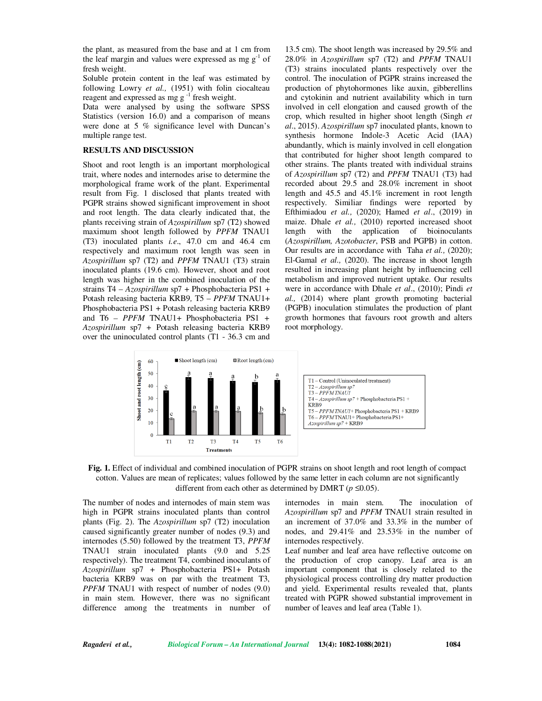the plant, as measured from the base and at 1 cm from the leaf margin and values were expressed as mg  $g^{-1}$  of fresh weight.

Soluble protein content in the leaf was estimated by following Lowry *et al.,* (1951) with folin ciocalteau reagent and expressed as mg g<sup>-1</sup> fresh weight.

Data were analysed by using the software SPSS Statistics (version 16.0) and a comparison of means were done at 5 % significance level with Duncan's multiple range test.

## **RESULTS AND DISCUSSION**

Shoot and root length is an important morphological trait, where nodes and internodes arise to determine the morphological frame work of the plant. Experimental result from Fig. 1 disclosed that plants treated with PGPR strains showed significant improvement in shoot and root length. The data clearly indicated that, the plants receiving strain of *Azospirillum* sp7 (T2) showed maximum shoot length followed by *PPFM* TNAU1 (T3) inoculated plants *i.e*., 47.0 cm and 46.4 cm respectively and maximum root length was seen in *Azospirillum* sp7 (T2) and *PPFM* TNAU1 (T3) strain inoculated plants (19.6 cm). However, shoot and root length was higher in the combined inoculation of the strains T4 – *Azospirillum* sp7 + Phosphobacteria PS1 + Potash releasing bacteria KRB9*,* T5 – *PPFM* TNAU1+ Phosphobacteria PS1 + Potash releasing bacteria KRB9 and T6 *– PPFM* TNAU1+ Phosphobacteria PS1 *+ Azospirillum* sp7 *+* Potash releasing bacteria KRB9 over the uninoculated control plants (T1 - 36.3 cm and

13.5 cm). The shoot length was increased by 29.5% and 28.0% in *Azospirillum* sp7 (T2) and *PPFM* TNAU1 (T3) strains inoculated plants respectively over the control. The inoculation of PGPR strains increased the production of phytohormones like auxin, gibberellins and cytokinin and nutrient availability which in turn involved in cell elongation and caused growth of the crop, which resulted in higher shoot length (Singh *et al*., 2015). *Azospirillum* sp7 inoculated plants, known to synthesis hormone Indole-3 Acetic Acid (IAA) abundantly, which is mainly involved in cell elongation that contributed for higher shoot length compared to other strains. The plants treated with individual strains of *Azospirillum* sp7 (T2) and *PPFM* TNAU1 (T3) had recorded about 29.5 and 28.0% increment in shoot length and 45.5 and 45.1% increment in root length respectively. Similiar findings were reported by Efthimiadou *et al.,* (2020); Hamed *et al*., (2019) in maize. Dhale *et al.,* (2010) reported increased shoot length with the application of bioinoculants (*Azospirillum, Azotobacter*, PSB and PGPB) in cotton. Our results are in accordance with Taha *et al.,* (2020); El-Gamal *et al.,* (2020). The increase in shoot length resulted in increasing plant height by influencing cell metabolism and improved nutrient uptake. Our results were in accordance with Dhale *et al*., (2010); Pindi *et al.,* (2014) where plant growth promoting bacterial (PGPB) inoculation stimulates the production of plant growth hormones that favours root growth and alters root morphology.





The number of nodes and internodes of main stem was high in PGPR strains inoculated plants than control plants (Fig. 2). The *Azospirillum* sp7 (T2) inoculation caused significantly greater number of nodes (9.3) and internodes (5.50) followed by the treatment T3, *PPFM*  TNAU1 strain inoculated plants (9.0 and 5.25 respectively). The treatment T4, combined inoculants of *Azospirillum* sp7 + Phosphobacteria PS1+ Potash bacteria KRB9 was on par with the treatment T3, *PPFM* TNAU1 with respect of number of nodes (9.0) in main stem. However, there was no significant difference among the treatments in number of

internodes in main stem. The inoculation of *Azospirillum* sp7 and *PPFM* TNAU1 strain resulted in an increment of 37.0% and 33.3% in the number of nodes, and 29.41% and 23.53% in the number of internodes respectively.

Leaf number and leaf area have reflective outcome on the production of crop canopy. Leaf area is an important component that is closely related to the physiological process controlling dry matter production and yield. Experimental results revealed that, plants treated with PGPR showed substantial improvement in number of leaves and leaf area (Table 1).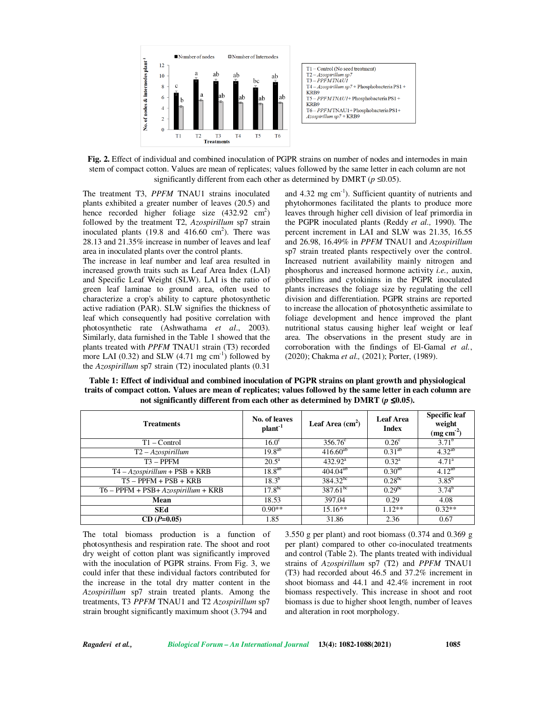

**Fig. 2.** Effect of individual and combined inoculation of PGPR strains on number of nodes and internodes in main stem of compact cotton. Values are mean of replicates; values followed by the same letter in each column are not significantly different from each other as determined by DMRT ( $p \le 0.05$ ).

The treatment T3, *PPFM* TNAU1 strains inoculated plants exhibited a greater number of leaves (20.5) and hence recorded higher foliage size  $(432.92 \text{ cm}^2)$ followed by the treatment T2, *Azospirillum* sp7 strain inoculated plants  $(19.8 \text{ and } 416.60 \text{ cm}^2)$ . There was 28.13 and 21.35% increase in number of leaves and leaf area in inoculated plants over the control plants.

The increase in leaf number and leaf area resulted in increased growth traits such as Leaf Area Index (LAI) and Specific Leaf Weight (SLW). LAI is the ratio of green leaf laminae to ground area, often used to characterize a crop's ability to capture photosynthetic active radiation (PAR). SLW signifies the thickness of leaf which consequently had positive correlation with photosynthetic rate (Ashwathama *et al*., 2003). Similarly, data furnished in the Table 1 showed that the plants treated with *PPFM* TNAU1 strain (T3) recorded more LAI  $(0.32)$  and SLW  $(4.71 \text{ mg cm}^{-1})$  followed by the *Azospirillum* sp7 strain (T2) inoculated plants (0.31

and  $4.32 \text{ mg cm}^{-1}$ ). Sufficient quantity of nutrients and phytohormones facilitated the plants to produce more leaves through higher cell division of leaf primordia in the PGPR inoculated plants (Reddy *et al.,* 1990). The percent increment in LAI and SLW was 21.35, 16.55 and 26.98, 16.49% in *PPFM* TNAU1 and *Azospirillum* sp7 strain treated plants respectively over the control. Increased nutrient availability mainly nitrogen and phosphorus and increased hormone activity *i.e.,* auxin, gibberellins and cytokinins in the PGPR inoculated plants increases the foliage size by regulating the cell division and differentiation. PGPR strains are reported to increase the allocation of photosynthetic assimilate to foliage development and hence improved the plant nutritional status causing higher leaf weight or leaf area. The observations in the present study are in corroboration with the findings of El-Gamal *et al.*, (2020); Chakma *et al.,* (2021); Porter, (1989).

**Table 1: Effect of individual and combined inoculation of PGPR strains on plant growth and physiological traits of compact cotton. Values are mean of replicates; values followed by the same letter in each column are**  not significantly different from each other as determined by DMRT ( $p \le 0.05$ ).

| <b>Treatments</b>                      | No. of leaves<br>plant <sup>-1</sup> | Leaf Area $(cm2)$ | Leaf Area<br><b>Index</b> | <b>Specific leaf</b><br>weight<br>$(mg cm-2)$ |
|----------------------------------------|--------------------------------------|-------------------|---------------------------|-----------------------------------------------|
| $T1 - Control$                         | 16.0 <sup>c</sup>                    | $356.76^{\circ}$  | 0.26 <sup>c</sup>         | $3.71^{b}$                                    |
| $T2 - Azo$ spirillum                   | $19.8^{ab}$                          | $416.60^{ab}$     | $0.31^{ab}$               | $4.32^{ab}$                                   |
| $T3 - PPFM$                            | $20.5^{\rm a}$                       | $432.92^{\rm a}$  | $0.32^a$                  | $4.71^{\rm a}$                                |
| $T4 - Azospirillum + PSB + KRB$        | $18.8^{ab}$                          | $404.04^{ab}$     | $0.30^{ab}$               | $4.12^{ab}$                                   |
| $T5 - PPFM + PSB + KRB$                | $18.3^{b}$                           | $384.32^{bc}$     | 0.28 <sup>bc</sup>        | $3.85^{b}$                                    |
| $T6 - PPFM + PSB + Azospirillum + KRB$ | $17.8^{bc}$                          | $387.61^{bc}$     | 0.29 <sup>bc</sup>        | $3.74^{b}$                                    |
| Mean                                   | 18.53                                | 397.04            | 0.29                      | 4.08                                          |
| <b>SEd</b>                             | $0.90**$                             | $15.16**$         | $1.12**$                  | $0.32**$                                      |
| $CD(P=0.05)$                           | 1.85                                 | 31.86             | 2.36                      | 0.67                                          |

The total biomass production is a function of photosynthesis and respiration rate. The shoot and root dry weight of cotton plant was significantly improved with the inoculation of PGPR strains. From Fig. 3, we could infer that these individual factors contributed for the increase in the total dry matter content in the *Azospirillum* sp7 strain treated plants. Among the treatments, T3 *PPFM* TNAU1 and T2 *Azospirillum* sp7 strain brought significantly maximum shoot (3.794 and

3.550 g per plant) and root biomass (0.374 and 0.369 g per plant) compared to other co-inoculated treatments and control (Table 2). The plants treated with individual strains of *Azospirillum* sp7 (T2) and *PPFM* TNAU1 (T3) had recorded about 46.5 and 37.2% increment in shoot biomass and 44.1 and 42.4% increment in root biomass respectively. This increase in shoot and root biomass is due to higher shoot length, number of leaves and alteration in root morphology.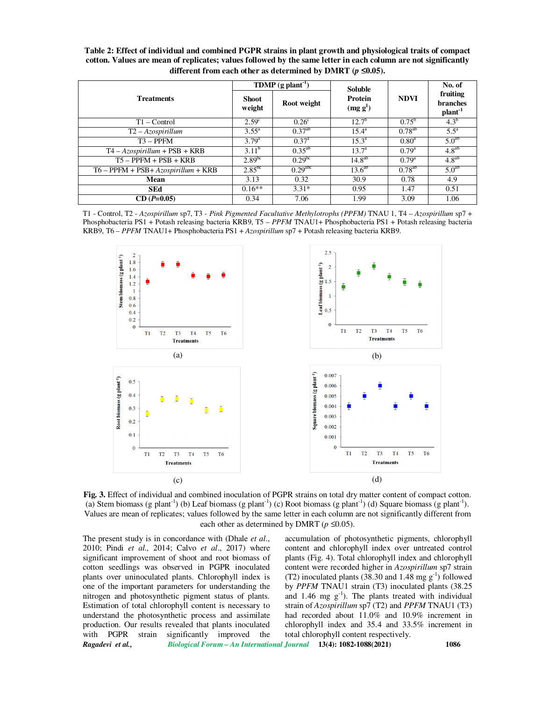**Table 2: Effect of individual and combined PGPR strains in plant growth and physiological traits of compact cotton. Values are mean of replicates; values followed by the same letter in each column are not significantly different from each other as determined by DMRT (** $p \leq 0.05$ **).** 

| <b>Treatments</b>                      | TDMP $(g$ plant <sup>-1</sup> ) |                       | <b>Soluble</b>                         |                   | No. of                                      |
|----------------------------------------|---------------------------------|-----------------------|----------------------------------------|-------------------|---------------------------------------------|
|                                        | <b>Shoot</b><br>weight          | Root weight           | <b>Protein</b><br>(mg g <sup>1</sup> ) | <b>NDVI</b>       | fruiting<br>branches<br>plant <sup>-1</sup> |
| $T1 - Control$                         | 2.59 <sup>c</sup>               | 0.26 <sup>c</sup>     | $12.7^{b}$                             | $0.75^{\rm b}$    | $4.3^{b}$                                   |
| $T2 - Azospirillum$                    | $3.55^{\circ}$                  | $0.37^{ab}$           | $15.4^{\rm a}$                         | $0.78^{ab}$       | $5.5^{\mathrm{a}}$                          |
| $T3 - PPFM$                            | $3.79^{a}$                      | $0.37^{\rm a}$        | $15.3^{\rm a}$                         | 0.80 <sup>a</sup> | $5.0^{ab}$                                  |
| $T4 - Azospirillum + PSB + KRB$        | $3.11^{b}$                      | $0.35^{ab}$           | $13.7^{\rm a}$                         | $0.79^{\rm a}$    | 4.8 <sup>ab</sup>                           |
| $T5 - PPFM + PSB + KRB$                | 2.89 <sup>bc</sup>              | 0.29 <sup>bc</sup>    | 14.8 <sup>ab</sup>                     | $0.79^{\rm a}$    | $4.8^{ab}$                                  |
| $T6 - PPFM + PSB + Azospirillum + KRB$ | $2.85^{bc}$                     | $0.29$ <sup>abc</sup> | $13.6^{ab}$                            | $0.78^{ab}$       | 5.0 <sup>ab</sup>                           |
| Mean                                   | 3.13                            | 0.32                  | 30.9                                   | 0.78              | 4.9                                         |
| <b>SEd</b>                             | $0.16**$                        | $3.31*$               | 0.95                                   | 1.47              | 0.51                                        |
| $CD(P=0.05)$                           | 0.34                            | 7.06                  | 1.99                                   | 3.09              | 1.06                                        |

T1 - Control, T2 - *Azospirillum* sp7, T3 *- Pink Pigmented Facultative Methylotrophs (PPFM)* TNAU 1, T4 – *Azospirillum* sp7 + Phosphobacteria PS1 + Potash releasing bacteria KRB9, T5 – *PPFM* TNAU1+ Phosphobacteria PS1 + Potash releasing bacteria KRB9, T6 – *PPFM* TNAU1+ Phosphobacteria PS1 + *Azospirillum* sp7 + Potash releasing bacteria KRB9.



**Fig. 3.** Effect of individual and combined inoculation of PGPR strains on total dry matter content of compact cotton. (a) Stem biomass (g plant<sup>-1</sup>) (b) Leaf biomass (g plant<sup>-1</sup>) (c) Root biomass (g plant<sup>-1</sup>) (d) Square biomass (g plant<sup>-1</sup>). Values are mean of replicates; values followed by the same letter in each column are not significantly different from each other as determined by DMRT ( $p \le 0.05$ ).

The present study is in concordance with (Dhale *et al*., 2010; Pindi *et al.,* 2014; Calvo *et al*., 2017) where significant improvement of shoot and root biomass of cotton seedlings was observed in PGPR inoculated plants over uninoculated plants. Chlorophyll index is one of the important parameters for understanding the nitrogen and photosynthetic pigment status of plants. Estimation of total chlorophyll content is necessary to understand the photosynthetic process and assimilate production. Our results revealed that plants inoculated with PGPR strain significantly improved the

accumulation of photosynthetic pigments, chlorophyll content and chlorophyll index over untreated control plants (Fig. 4). Total chlorophyll index and chlorophyll content were recorded higher in *Azospirillum* sp7 strain (T2) inoculated plants (38.30 and 1.48 mg  $g^{-1}$ ) followed by *PPFM* TNAU1 strain (T3) inoculated plants (38.25 and 1.46 mg  $g^{-1}$ ). The plants treated with individual strain of *Azospirillum* sp7 (T2) and *PPFM* TNAU1 (T3) had recorded about 11.0% and 10.9% increment in chlorophyll index and 35.4 and 33.5% increment in total chlorophyll content respectively.

*Ragadevi et al., Biological Forum – An International Journal* **13(4): 1082-1088(2021) 1086**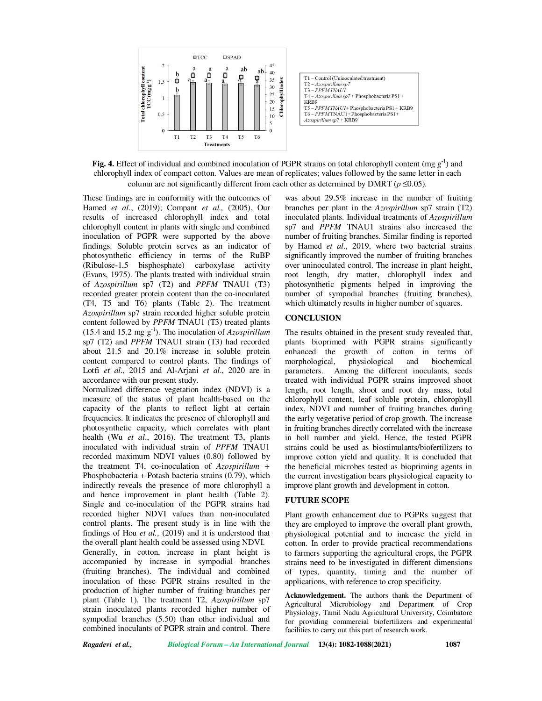

**Fig. 4.** Effect of individual and combined inoculation of PGPR strains on total chlorophyll content (mg  $g^{-1}$ ) and chlorophyll index of compact cotton. Values are mean of replicates; values followed by the same letter in each column are not significantly different from each other as determined by DMRT ( $p \le 0.05$ ).

These findings are in conformity with the outcomes of Hamed *et al*., (2019); Compant *et al.,* (2005). Our results of increased chlorophyll index and total chlorophyll content in plants with single and combined inoculation of PGPR were supported by the above findings. Soluble protein serves as an indicator of photosynthetic efficiency in terms of the RuBP (Ribulose-1,5 bisphosphate) carboxylase activity (Evans, 1975). The plants treated with individual strain of *Azospirillum* sp7 (T2) and *PPFM* TNAU1 (T3) recorded greater protein content than the co-inoculated (T4, T5 and T6) plants (Table 2). The treatment *Azospirillum* sp7 strain recorded higher soluble protein content followed by *PPFM* TNAU1 (T3) treated plants  $(15.4 \text{ and } 15.2 \text{ mg g}^{-1})$ . The inoculation of *Azospirillum* sp7 (T2) and *PPFM* TNAU1 strain (T3) had recorded about 21.5 and 20.1% increase in soluble protein content compared to control plants. The findings of Lotfi *et al*., 2015 and Al-Arjani *et al*., 2020 are in accordance with our present study.

Normalized difference vegetation index (NDVI) is a measure of the status of plant health-based on the capacity of the plants to reflect light at certain frequencies. It indicates the presence of chlorophyll and photosynthetic capacity, which correlates with plant health (Wu *et al*., 2016). The treatment T3, plants inoculated with individual strain of *PPFM* TNAU1 recorded maximum NDVI values (0.80) followed by the treatment T4, co-inoculation of *Azospirillum +*  Phosphobacteria + Potash bacteria strains (0.79), which indirectly reveals the presence of more chlorophyll a and hence improvement in plant health (Table 2). Single and co-inoculation of the PGPR strains had recorded higher NDVI values than non-inoculated control plants. The present study is in line with the findings of Hou *et al.,* (2019) and it is understood that the overall plant health could be assessed using NDVI. Generally, in cotton, increase in plant height is accompanied by increase in sympodial branches (fruiting branches). The individual and combined inoculation of these PGPR strains resulted in the production of higher number of fruiting branches per plant (Table 1). The treatment T2, *Azospirillum* sp7 strain inoculated plants recorded higher number of sympodial branches (5.50) than other individual and combined inoculants of PGPR strain and control. There

was about 29.5% increase in the number of fruiting branches per plant in the *Azospirillum* sp7 strain (T2) inoculated plants. Individual treatments of *Azospirillum* sp7 and *PPFM* TNAU1 strains also increased the number of fruiting branches. Similar finding is reported by Hamed *et al*., 2019, where two bacterial strains significantly improved the number of fruiting branches over uninoculated control. The increase in plant height, root length, dry matter, chlorophyll index and photosynthetic pigments helped in improving the number of sympodial branches (fruiting branches), which ultimately results in higher number of squares.

# **CONCLUSION**

The results obtained in the present study revealed that, plants bioprimed with PGPR strains significantly enhanced the growth of cotton in terms of morphological, physiological and biochemical morphological, physiological and parameters. Among the different inoculants, seeds treated with individual PGPR strains improved shoot length, root length, shoot and root dry mass, total chlorophyll content, leaf soluble protein, chlorophyll index, NDVI and number of fruiting branches during the early vegetative period of crop growth. The increase in fruiting branches directly correlated with the increase in boll number and yield. Hence, the tested PGPR strains could be used as biostimulants/biofertilizers to improve cotton yield and quality. It is concluded that the beneficial microbes tested as biopriming agents in the current investigation bears physiological capacity to improve plant growth and development in cotton.

#### **FUTURE SCOPE**

Plant growth enhancement due to PGPRs suggest that they are employed to improve the overall plant growth, physiological potential and to increase the yield in cotton. In order to provide practical recommendations to farmers supporting the agricultural crops, the PGPR strains need to be investigated in different dimensions of types, quantity, timing and the number of applications, with reference to crop specificity.

**Acknowledgement.** The authors thank the Department of Agricultural Microbiology and Department of Crop Physiology, Tamil Nadu Agricultural University, Coimbatore for providing commercial biofertilizers and experimental facilities to carry out this part of research work.